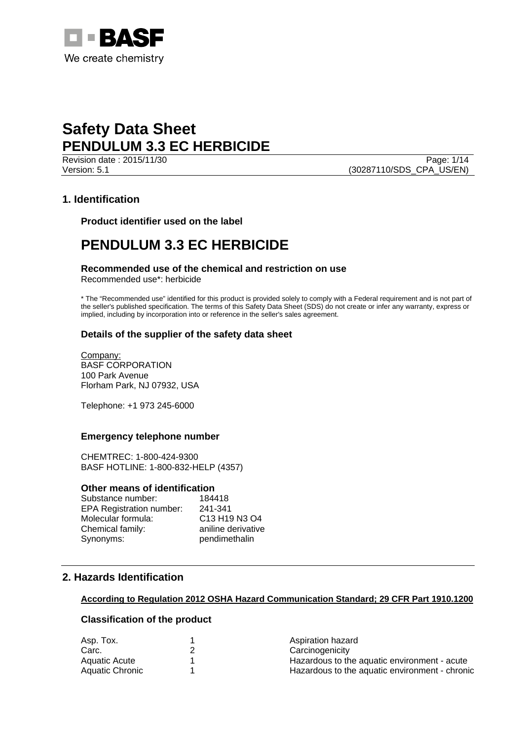

Revision date : 2015/11/30 Page: 1/14 Version: 5.1 (30287110/SDS\_CPA\_US/EN)

## **1. Identification**

**Product identifier used on the label** 

## **PENDULUM 3.3 EC HERBICIDE**

## **Recommended use of the chemical and restriction on use**

Recommended use\*: herbicide

\* The "Recommended use" identified for this product is provided solely to comply with a Federal requirement and is not part of the seller's published specification. The terms of this Safety Data Sheet (SDS) do not create or infer any warranty, express or implied, including by incorporation into or reference in the seller's sales agreement.

## **Details of the supplier of the safety data sheet**

Company: BASF CORPORATION 100 Park Avenue Florham Park, NJ 07932, USA

Telephone: +1 973 245-6000

## **Emergency telephone number**

CHEMTREC: 1-800-424-9300 BASF HOTLINE: 1-800-832-HELP (4357)

#### **Other means of identification**

| Substance number:               | 184418             |
|---------------------------------|--------------------|
| <b>EPA Registration number:</b> | 241-341            |
| Molecular formula:              | C13 H19 N3 O4      |
| Chemical family:                | aniline derivative |
| Synonyms:                       | pendimethalin      |

## **2. Hazards Identification**

#### **According to Regulation 2012 OSHA Hazard Communication Standard; 29 CFR Part 1910.1200**

## **Classification of the product**

| Asp. Tox.       | Aspiration hazard                              |
|-----------------|------------------------------------------------|
| Carc.           | Carcinogenicity                                |
| Aquatic Acute   | Hazardous to the aquatic environment - acute   |
| Aquatic Chronic | Hazardous to the aquatic environment - chronic |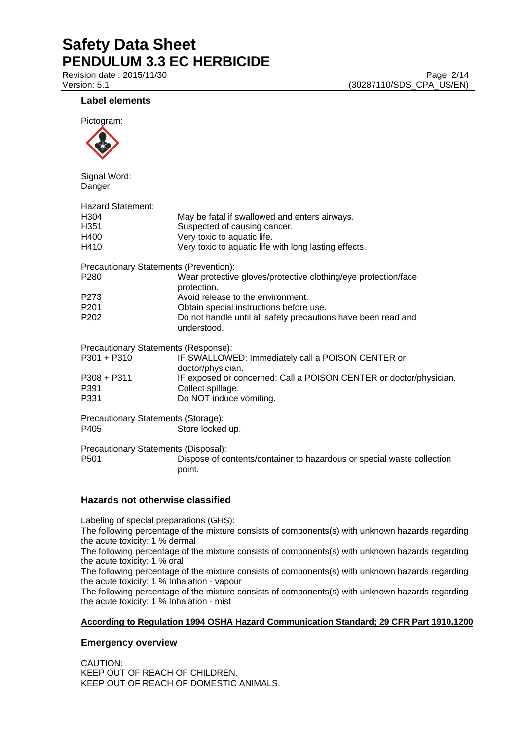Revision date : 2015/11/30 Page: 2/14 Version: 5.1 **(30287110/SDS\_CPA\_US/EN)** 

## **Label elements**

Pictogram:



Signal Word: Danger

| <b>Hazard Statement:</b>               |                                                                               |
|----------------------------------------|-------------------------------------------------------------------------------|
| H304                                   | May be fatal if swallowed and enters airways.                                 |
| H351                                   | Suspected of causing cancer.                                                  |
| H400                                   | Very toxic to aquatic life.                                                   |
| H410                                   | Very toxic to aquatic life with long lasting effects.                         |
| Precautionary Statements (Prevention): |                                                                               |
| P280                                   | Wear protective gloves/protective clothing/eye protection/face<br>protection. |
| P273                                   | Avoid release to the environment.                                             |
| P201                                   | Obtain special instructions before use.                                       |
| P202                                   | Do not handle until all safety precautions have been read and<br>understood.  |
| Precautionary Statements (Response):   |                                                                               |
| P301 + P310                            | IF SWALLOWED: Immediately call a POISON CENTER or<br>doctor/physician.        |
| P308 + P311                            | IF exposed or concerned: Call a POISON CENTER or doctor/physician.            |
| P391                                   | Collect spillage.                                                             |
| P331                                   | Do NOT induce vomiting.                                                       |
| Precautionary Statements (Storage):    |                                                                               |
| P405                                   | Store locked up.                                                              |
|                                        |                                                                               |

Precautionary Statements (Disposal): P501 Dispose of contents/container to hazardous or special waste collection point.

## **Hazards not otherwise classified**

Labeling of special preparations (GHS):

The following percentage of the mixture consists of components(s) with unknown hazards regarding the acute toxicity: 1 % dermal

The following percentage of the mixture consists of components(s) with unknown hazards regarding the acute toxicity: 1 % oral

The following percentage of the mixture consists of components(s) with unknown hazards regarding the acute toxicity: 1 % Inhalation - vapour

The following percentage of the mixture consists of components(s) with unknown hazards regarding the acute toxicity: 1 % Inhalation - mist

## **According to Regulation 1994 OSHA Hazard Communication Standard; 29 CFR Part 1910.1200**

## **Emergency overview**

CAUTION: KEEP OUT OF REACH OF CHILDREN. KEEP OUT OF REACH OF DOMESTIC ANIMALS.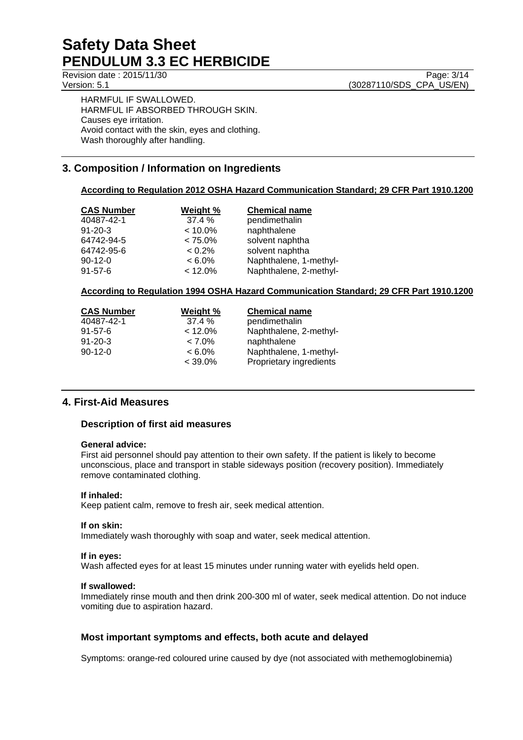HARMFUL IF SWALLOWED. HARMFUL IF ABSORBED THROUGH SKIN. Causes eye irritation. Avoid contact with the skin, eyes and clothing. Wash thoroughly after handling.

## **3. Composition / Information on Ingredients**

#### **According to Regulation 2012 OSHA Hazard Communication Standard; 29 CFR Part 1910.1200**

| Weight %   | <b>Chemical name</b>   |
|------------|------------------------|
| 37.4%      | pendimethalin          |
| $< 10.0\%$ | naphthalene            |
| $< 75.0\%$ | solvent naphtha        |
| $< 0.2\%$  | solvent naphtha        |
| $< 6.0\%$  | Naphthalene, 1-methyl- |
| $< 12.0\%$ | Naphthalene, 2-methyl- |
|            |                        |

#### **According to Regulation 1994 OSHA Hazard Communication Standard; 29 CFR Part 1910.1200**

| <b>CAS Number</b> | Weight %   | <b>Chemical name</b>    |
|-------------------|------------|-------------------------|
| 40487-42-1        | 37.4%      | pendimethalin           |
| $91 - 57 - 6$     | $< 12.0\%$ | Naphthalene, 2-methyl-  |
| $91 - 20 - 3$     | $< 7.0\%$  | naphthalene             |
| $90-12-0$         | $< 6.0\%$  | Naphthalene, 1-methyl-  |
|                   | $< 39.0\%$ | Proprietary ingredients |

## **4. First-Aid Measures**

## **Description of first aid measures**

#### **General advice:**

First aid personnel should pay attention to their own safety. If the patient is likely to become unconscious, place and transport in stable sideways position (recovery position). Immediately remove contaminated clothing.

#### **If inhaled:**

Keep patient calm, remove to fresh air, seek medical attention.

#### **If on skin:**

Immediately wash thoroughly with soap and water, seek medical attention.

#### **If in eyes:**

Wash affected eyes for at least 15 minutes under running water with eyelids held open.

#### **If swallowed:**

Immediately rinse mouth and then drink 200-300 ml of water, seek medical attention. Do not induce vomiting due to aspiration hazard.

## **Most important symptoms and effects, both acute and delayed**

Symptoms: orange-red coloured urine caused by dye (not associated with methemoglobinemia)

Revision date : 2015/11/30 Page: 3/14 Version: 5.1 (30287110/SDS\_CPA\_US/EN)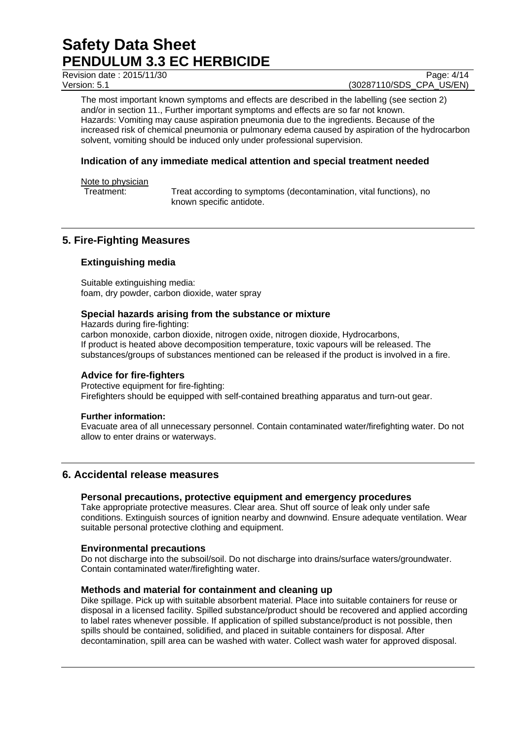Revision date : 2015/11/30 Page: 4/14

Version: 5.1 (30287110/SDS\_CPA\_US/EN)

The most important known symptoms and effects are described in the labelling (see section 2) and/or in section 11., Further important symptoms and effects are so far not known. Hazards: Vomiting may cause aspiration pneumonia due to the ingredients. Because of the increased risk of chemical pneumonia or pulmonary edema caused by aspiration of the hydrocarbon solvent, vomiting should be induced only under professional supervision.

## **Indication of any immediate medical attention and special treatment needed**

Note to physician

Treatment: Treat according to symptoms (decontamination, vital functions), no known specific antidote.

## **5. Fire-Fighting Measures**

## **Extinguishing media**

Suitable extinguishing media: foam, dry powder, carbon dioxide, water spray

## **Special hazards arising from the substance or mixture**

Hazards during fire-fighting: carbon monoxide, carbon dioxide, nitrogen oxide, nitrogen dioxide, Hydrocarbons, If product is heated above decomposition temperature, toxic vapours will be released. The substances/groups of substances mentioned can be released if the product is involved in a fire.

## **Advice for fire-fighters**

Protective equipment for fire-fighting: Firefighters should be equipped with self-contained breathing apparatus and turn-out gear.

## **Further information:**

Evacuate area of all unnecessary personnel. Contain contaminated water/firefighting water. Do not allow to enter drains or waterways.

## **6. Accidental release measures**

## **Personal precautions, protective equipment and emergency procedures**

Take appropriate protective measures. Clear area. Shut off source of leak only under safe conditions. Extinguish sources of ignition nearby and downwind. Ensure adequate ventilation. Wear suitable personal protective clothing and equipment.

## **Environmental precautions**

Do not discharge into the subsoil/soil. Do not discharge into drains/surface waters/groundwater. Contain contaminated water/firefighting water.

## **Methods and material for containment and cleaning up**

Dike spillage. Pick up with suitable absorbent material. Place into suitable containers for reuse or disposal in a licensed facility. Spilled substance/product should be recovered and applied according to label rates whenever possible. If application of spilled substance/product is not possible, then spills should be contained, solidified, and placed in suitable containers for disposal. After decontamination, spill area can be washed with water. Collect wash water for approved disposal.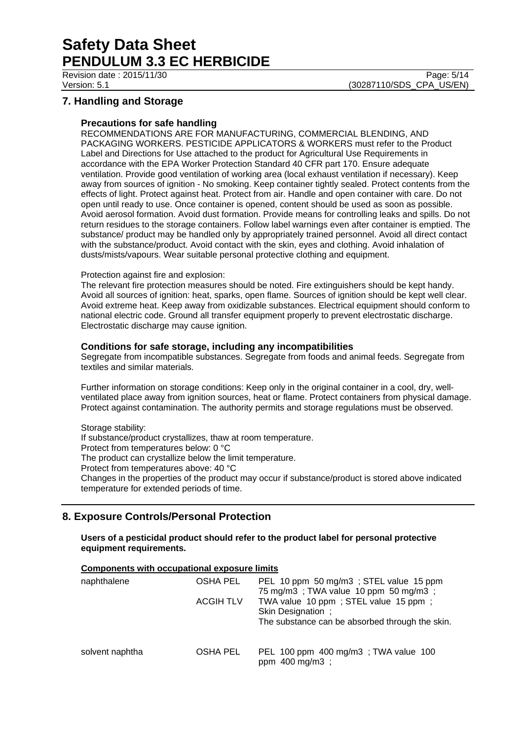Revision date : 2015/11/30 Page: 5/14

Version: 5.1 (30287110/SDS\_CPA\_US/EN)

## **7. Handling and Storage**

#### **Precautions for safe handling**

RECOMMENDATIONS ARE FOR MANUFACTURING, COMMERCIAL BLENDING, AND PACKAGING WORKERS. PESTICIDE APPLICATORS & WORKERS must refer to the Product Label and Directions for Use attached to the product for Agricultural Use Requirements in accordance with the EPA Worker Protection Standard 40 CFR part 170. Ensure adequate ventilation. Provide good ventilation of working area (local exhaust ventilation if necessary). Keep away from sources of ignition - No smoking. Keep container tightly sealed. Protect contents from the effects of light. Protect against heat. Protect from air. Handle and open container with care. Do not open until ready to use. Once container is opened, content should be used as soon as possible. Avoid aerosol formation. Avoid dust formation. Provide means for controlling leaks and spills. Do not return residues to the storage containers. Follow label warnings even after container is emptied. The substance/ product may be handled only by appropriately trained personnel. Avoid all direct contact with the substance/product. Avoid contact with the skin, eyes and clothing. Avoid inhalation of dusts/mists/vapours. Wear suitable personal protective clothing and equipment.

#### Protection against fire and explosion:

The relevant fire protection measures should be noted. Fire extinguishers should be kept handy. Avoid all sources of ignition: heat, sparks, open flame. Sources of ignition should be kept well clear. Avoid extreme heat. Keep away from oxidizable substances. Electrical equipment should conform to national electric code. Ground all transfer equipment properly to prevent electrostatic discharge. Electrostatic discharge may cause ignition.

#### **Conditions for safe storage, including any incompatibilities**

Segregate from incompatible substances. Segregate from foods and animal feeds. Segregate from textiles and similar materials.

Further information on storage conditions: Keep only in the original container in a cool, dry, wellventilated place away from ignition sources, heat or flame. Protect containers from physical damage. Protect against contamination. The authority permits and storage regulations must be observed.

#### Storage stability:

If substance/product crystallizes, thaw at room temperature. Protect from temperatures below: 0 °C The product can crystallize below the limit temperature. Protect from temperatures above: 40 °C Changes in the properties of the product may occur if substance/product is stored above indicated temperature for extended periods of time.

## **8. Exposure Controls/Personal Protection**

**Users of a pesticidal product should refer to the product label for personal protective equipment requirements.** 

#### **Components with occupational exposure limits**

| naphthalene     | OSHA PEL         | PEL 10 ppm 50 mg/m3; STEL value 15 ppm<br>75 mg/m3; TWA value 10 ppm 50 mg/m3;                               |
|-----------------|------------------|--------------------------------------------------------------------------------------------------------------|
|                 | <b>ACGIH TLV</b> | TWA value 10 ppm; STEL value 15 ppm;<br>Skin Designation;<br>The substance can be absorbed through the skin. |
| solvent naphtha | OSHA PEL         | PEL 100 ppm 400 mg/m3; TWA value 100<br>ppm 400 mg/m3;                                                       |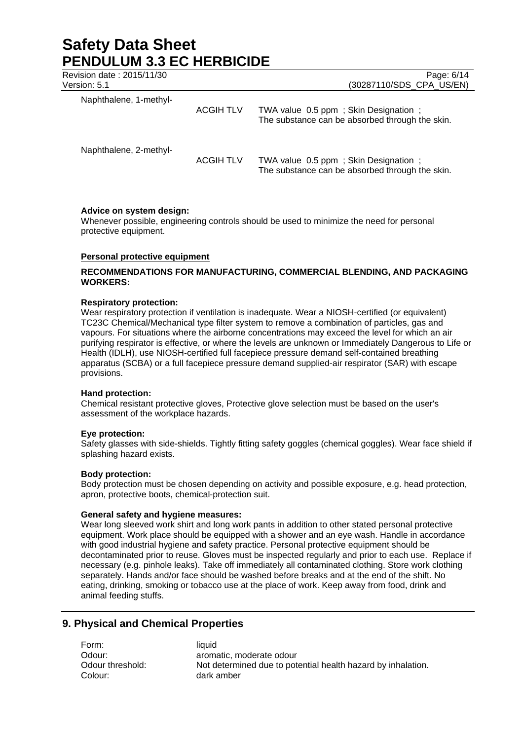| Revision date: 2015/11/30<br>Version: 5.1 |                  | Page: 6/14<br>(30287110/SDS CPA US/EN)                                                  |
|-------------------------------------------|------------------|-----------------------------------------------------------------------------------------|
| Naphthalene, 1-methyl-                    | <b>ACGIH TLV</b> | TWA value 0.5 ppm; Skin Designation;<br>The substance can be absorbed through the skin. |
| Naphthalene, 2-methyl-                    | <b>ACGIH TLV</b> | TWA value 0.5 ppm; Skin Designation;<br>The substance can be absorbed through the skin. |

#### **Advice on system design:**

Whenever possible, engineering controls should be used to minimize the need for personal protective equipment.

#### **Personal protective equipment**

## **RECOMMENDATIONS FOR MANUFACTURING, COMMERCIAL BLENDING, AND PACKAGING WORKERS:**

#### **Respiratory protection:**

Wear respiratory protection if ventilation is inadequate. Wear a NIOSH-certified (or equivalent) TC23C Chemical/Mechanical type filter system to remove a combination of particles, gas and vapours. For situations where the airborne concentrations may exceed the level for which an air purifying respirator is effective, or where the levels are unknown or Immediately Dangerous to Life or Health (IDLH), use NIOSH-certified full facepiece pressure demand self-contained breathing apparatus (SCBA) or a full facepiece pressure demand supplied-air respirator (SAR) with escape provisions.

#### **Hand protection:**

Chemical resistant protective gloves, Protective glove selection must be based on the user's assessment of the workplace hazards.

#### **Eye protection:**

Safety glasses with side-shields. Tightly fitting safety goggles (chemical goggles). Wear face shield if splashing hazard exists.

#### **Body protection:**

Body protection must be chosen depending on activity and possible exposure, e.g. head protection, apron, protective boots, chemical-protection suit.

#### **General safety and hygiene measures:**

Wear long sleeved work shirt and long work pants in addition to other stated personal protective equipment. Work place should be equipped with a shower and an eye wash. Handle in accordance with good industrial hygiene and safety practice. Personal protective equipment should be decontaminated prior to reuse. Gloves must be inspected regularly and prior to each use. Replace if necessary (e.g. pinhole leaks). Take off immediately all contaminated clothing. Store work clothing separately. Hands and/or face should be washed before breaks and at the end of the shift. No eating, drinking, smoking or tobacco use at the place of work. Keep away from food, drink and animal feeding stuffs.

## **9. Physical and Chemical Properties**

Form: liquid Colour: dark amber

Odour: aromatic, moderate odour Odour threshold: Not determined due to potential health hazard by inhalation.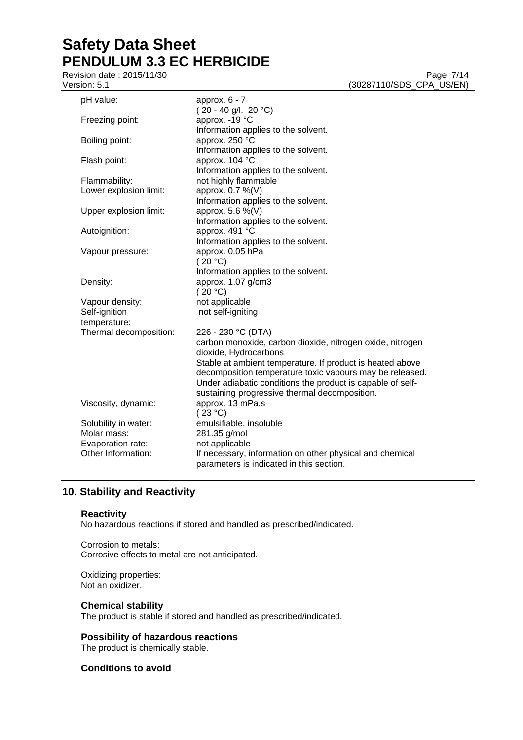Revision date : 2015/11/30 Version: 5.1 (30287110/SDS\_CPA\_US/EN)

| pH value:              | approx. $6 - 7$<br>$(20 - 40$ g/l, 20 °C)                  |
|------------------------|------------------------------------------------------------|
| Freezing point:        | approx. - 19 °C<br>Information applies to the solvent.     |
| Boiling point:         | approx. 250 °C<br>Information applies to the solvent.      |
| Flash point:           | approx. 104 °C<br>Information applies to the solvent.      |
| Flammability:          | not highly flammable                                       |
| Lower explosion limit: | approx. 0.7 %(V)                                           |
|                        | Information applies to the solvent.                        |
| Upper explosion limit: | approx. 5.6 %(V)                                           |
|                        | Information applies to the solvent.                        |
| Autoignition:          | approx. 491 °C                                             |
|                        | Information applies to the solvent.                        |
| Vapour pressure:       | approx. 0.05 hPa                                           |
|                        | (20 °C)                                                    |
|                        | Information applies to the solvent.                        |
| Density:               | approx. 1.07 g/cm3                                         |
|                        | (20 °C)                                                    |
| Vapour density:        | not applicable                                             |
| Self-ignition          | not self-igniting                                          |
| temperature:           |                                                            |
| Thermal decomposition: | 226 - 230 °C (DTA)                                         |
|                        | carbon monoxide, carbon dioxide, nitrogen oxide, nitrogen  |
|                        | dioxide, Hydrocarbons                                      |
|                        | Stable at ambient temperature. If product is heated above  |
|                        | decomposition temperature toxic vapours may be released.   |
|                        | Under adiabatic conditions the product is capable of self- |
|                        | sustaining progressive thermal decomposition.              |
| Viscosity, dynamic:    | approx. 13 mPa.s                                           |
|                        | (23 °C)                                                    |
| Solubility in water:   | emulsifiable, insoluble                                    |
| Molar mass:            | 281.35 g/mol                                               |
| Evaporation rate:      | not applicable                                             |
| Other Information:     | If necessary, information on other physical and chemical   |
|                        | parameters is indicated in this section.                   |
|                        |                                                            |

## **10. Stability and Reactivity**

#### **Reactivity**

No hazardous reactions if stored and handled as prescribed/indicated.

Corrosion to metals: Corrosive effects to metal are not anticipated.

Oxidizing properties: Not an oxidizer.

## **Chemical stability**

The product is stable if stored and handled as prescribed/indicated.

## **Possibility of hazardous reactions**

The product is chemically stable.

## **Conditions to avoid**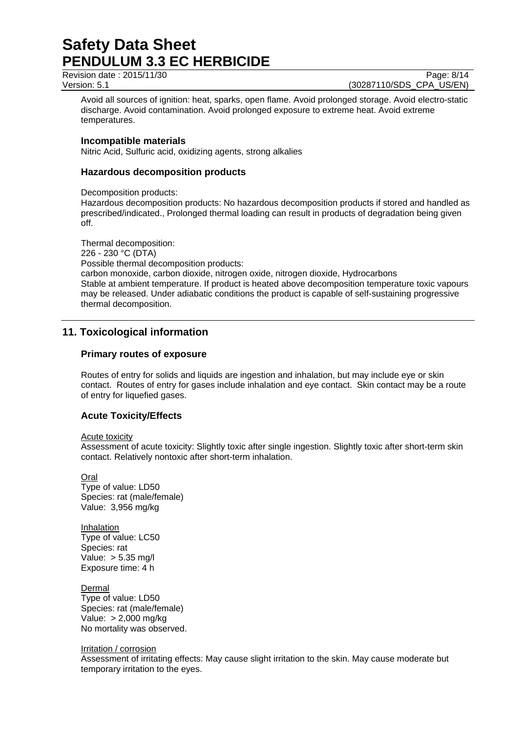Revision date : 2015/11/30 Page: 8/14

Version: 5.1 (30287110/SDS\_CPA\_US/EN)

Avoid all sources of ignition: heat, sparks, open flame. Avoid prolonged storage. Avoid electro-static discharge. Avoid contamination. Avoid prolonged exposure to extreme heat. Avoid extreme temperatures.

#### **Incompatible materials**

Nitric Acid, Sulfuric acid, oxidizing agents, strong alkalies

### **Hazardous decomposition products**

Decomposition products:

Hazardous decomposition products: No hazardous decomposition products if stored and handled as prescribed/indicated., Prolonged thermal loading can result in products of degradation being given off.

Thermal decomposition: 226 - 230 °C (DTA) Possible thermal decomposition products: carbon monoxide, carbon dioxide, nitrogen oxide, nitrogen dioxide, Hydrocarbons Stable at ambient temperature. If product is heated above decomposition temperature toxic vapours may be released. Under adiabatic conditions the product is capable of self-sustaining progressive thermal decomposition.

## **11. Toxicological information**

#### **Primary routes of exposure**

Routes of entry for solids and liquids are ingestion and inhalation, but may include eye or skin contact. Routes of entry for gases include inhalation and eye contact. Skin contact may be a route of entry for liquefied gases.

## **Acute Toxicity/Effects**

#### Acute toxicity

Assessment of acute toxicity: Slightly toxic after single ingestion. Slightly toxic after short-term skin contact. Relatively nontoxic after short-term inhalation.

Oral Type of value: LD50 Species: rat (male/female) Value: 3,956 mg/kg

Inhalation Type of value: LC50 Species: rat Value: > 5.35 mg/l Exposure time: 4 h

Dermal Type of value: LD50 Species: rat (male/female) Value: > 2,000 mg/kg No mortality was observed.

#### Irritation / corrosion

Assessment of irritating effects: May cause slight irritation to the skin. May cause moderate but temporary irritation to the eyes.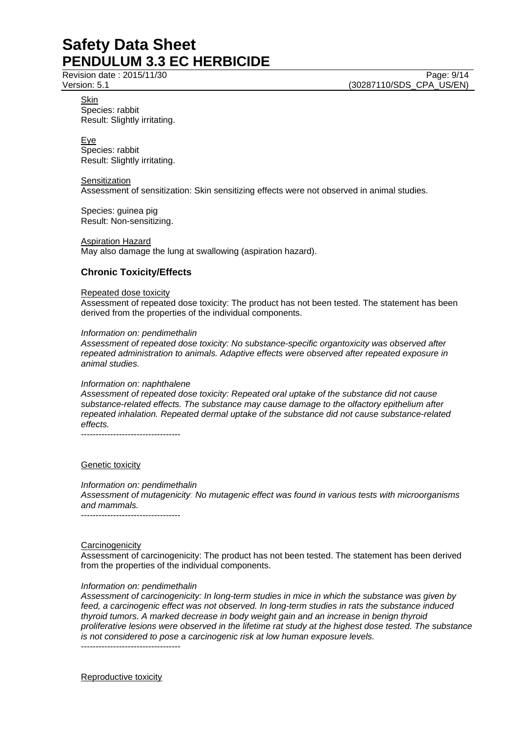Revision date : 2015/11/30 Page: 9/14 Version: 5.1 (30287110/SDS\_CPA\_US/EN)

Skin Species: rabbit Result: Slightly irritating.

Eye Species: rabbit Result: Slightly irritating.

**Sensitization** 

Assessment of sensitization: Skin sensitizing effects were not observed in animal studies.

Species: guinea pig Result: Non-sensitizing.

Aspiration Hazard May also damage the lung at swallowing (aspiration hazard).

## **Chronic Toxicity/Effects**

#### Repeated dose toxicity

Assessment of repeated dose toxicity: The product has not been tested. The statement has been derived from the properties of the individual components.

#### *Information on: pendimethalin*

*Assessment of repeated dose toxicity: No substance-specific organtoxicity was observed after repeated administration to animals. Adaptive effects were observed after repeated exposure in animal studies.* 

#### *Information on: naphthalene*

*Assessment of repeated dose toxicity: Repeated oral uptake of the substance did not cause substance-related effects. The substance may cause damage to the olfactory epithelium after repeated inhalation. Repeated dermal uptake of the substance did not cause substance-related effects.* 

----------------------------------

## Genetic toxicity

*Information on: pendimethalin Assessment of mutagenicity: No mutagenic effect was found in various tests with microorganisms and mammals.*  ----------------------------------

#### **Carcinogenicity**

Assessment of carcinogenicity: The product has not been tested. The statement has been derived from the properties of the individual components.

## *Information on: pendimethalin*

*Assessment of carcinogenicity: In long-term studies in mice in which the substance was given by feed, a carcinogenic effect was not observed. In long-term studies in rats the substance induced thyroid tumors. A marked decrease in body weight gain and an increase in benign thyroid proliferative lesions were observed in the lifetime rat study at the highest dose tested. The substance is not considered to pose a carcinogenic risk at low human exposure levels.*  ----------------------------------

Reproductive toxicity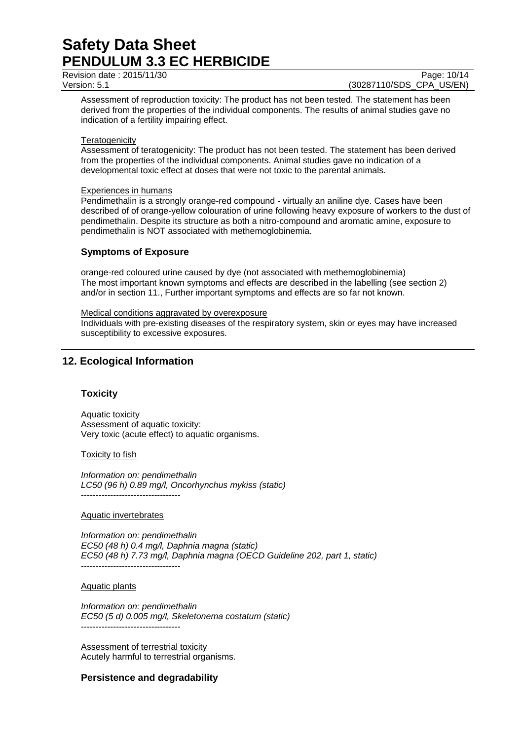Revision date : 2015/11/30 Page: 10/14

Version: 5.1 (30287110/SDS\_CPA\_US/EN)

Assessment of reproduction toxicity: The product has not been tested. The statement has been derived from the properties of the individual components. The results of animal studies gave no indication of a fertility impairing effect.

#### **Teratogenicity**

Assessment of teratogenicity: The product has not been tested. The statement has been derived from the properties of the individual components. Animal studies gave no indication of a developmental toxic effect at doses that were not toxic to the parental animals.

#### Experiences in humans

Pendimethalin is a strongly orange-red compound - virtually an aniline dye. Cases have been described of of orange-yellow colouration of urine following heavy exposure of workers to the dust of pendimethalin. Despite its structure as both a nitro-compound and aromatic amine, exposure to pendimethalin is NOT associated with methemoglobinemia.

## **Symptoms of Exposure**

orange-red coloured urine caused by dye (not associated with methemoglobinemia) The most important known symptoms and effects are described in the labelling (see section 2) and/or in section 11., Further important symptoms and effects are so far not known.

#### Medical conditions aggravated by overexposure

Individuals with pre-existing diseases of the respiratory system, skin or eyes may have increased susceptibility to excessive exposures.

## **12. Ecological Information**

## **Toxicity**

Aquatic toxicity Assessment of aquatic toxicity: Very toxic (acute effect) to aquatic organisms.

#### **Toxicity to fish**

*Information on: pendimethalin LC50 (96 h) 0.89 mg/l, Oncorhynchus mykiss (static)*  ----------------------------------

Aquatic invertebrates

*Information on: pendimethalin EC50 (48 h) 0.4 mg/l, Daphnia magna (static) EC50 (48 h) 7.73 mg/l, Daphnia magna (OECD Guideline 202, part 1, static)*  ----------------------------------

#### Aquatic plants

*Information on: pendimethalin EC50 (5 d) 0.005 mg/l, Skeletonema costatum (static)*  ----------------------------------

Assessment of terrestrial toxicity Acutely harmful to terrestrial organisms.

## **Persistence and degradability**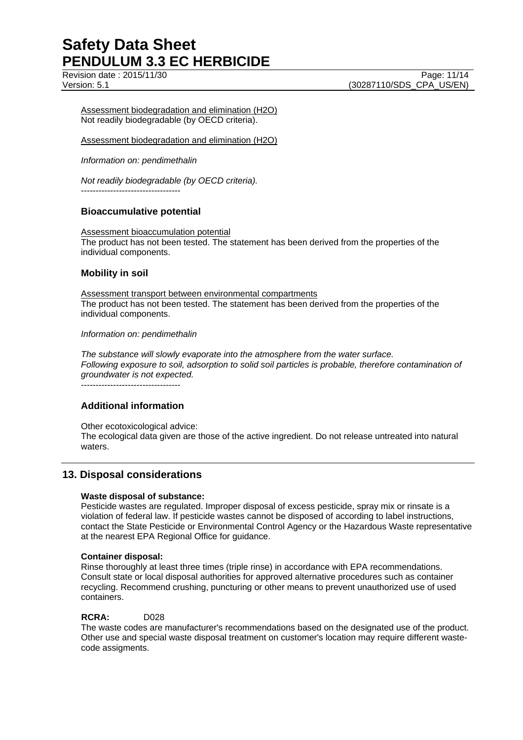Assessment biodegradation and elimination (H2O) Not readily biodegradable (by OECD criteria).

Assessment biodegradation and elimination (H2O)

*Information on: pendimethalin* 

*Not readily biodegradable (by OECD criteria).* 

----------------------------------

## **Bioaccumulative potential**

Assessment bioaccumulation potential The product has not been tested. The statement has been derived from the properties of the individual components.

## **Mobility in soil**

Assessment transport between environmental compartments The product has not been tested. The statement has been derived from the properties of the individual components.

#### *Information on: pendimethalin*

*The substance will slowly evaporate into the atmosphere from the water surface. Following exposure to soil, adsorption to solid soil particles is probable, therefore contamination of groundwater is not expected.*

----------------------------------

## **Additional information**

Other ecotoxicological advice: The ecological data given are those of the active ingredient. Do not release untreated into natural waters.

## **13. Disposal considerations**

## **Waste disposal of substance:**

Pesticide wastes are regulated. Improper disposal of excess pesticide, spray mix or rinsate is a violation of federal law. If pesticide wastes cannot be disposed of according to label instructions, contact the State Pesticide or Environmental Control Agency or the Hazardous Waste representative at the nearest EPA Regional Office for guidance.

#### **Container disposal:**

Rinse thoroughly at least three times (triple rinse) in accordance with EPA recommendations. Consult state or local disposal authorities for approved alternative procedures such as container recycling. Recommend crushing, puncturing or other means to prevent unauthorized use of used containers.

#### **RCRA:** D028

The waste codes are manufacturer's recommendations based on the designated use of the product. Other use and special waste disposal treatment on customer's location may require different wastecode assigments.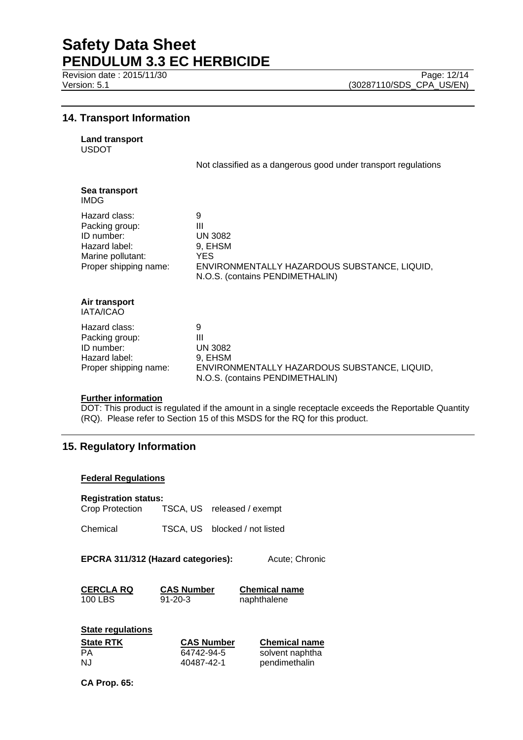## **14. Transport Information**

| <b>Land transport</b> |
|-----------------------|
|                       |

USDOT

Not classified as a dangerous good under transport regulations

| Sea transport<br>IMDG.                                                                                       |                                                                                                                                |
|--------------------------------------------------------------------------------------------------------------|--------------------------------------------------------------------------------------------------------------------------------|
| Hazard class:<br>Packing group:<br>ID number:<br>Hazard label:<br>Marine pollutant:<br>Proper shipping name: | 9<br>Ш<br><b>UN 3082</b><br>9, EHSM<br>YES.<br>ENVIRONMENTALLY HAZARDOUS SUBSTANCE, LIQUID,<br>N.O.S. (contains PENDIMETHALIN) |
| Air transport<br><b>IATA/ICAO</b>                                                                            |                                                                                                                                |
| Hazard class:<br>Packing group:<br>ID number:<br>Hazard label:<br>Proper shipping name:                      | 9<br>Ш<br><b>UN 3082</b><br>9, EHSM<br>ENVIRONMENTALLY HAZARDOUS SUBSTANCE, LIQUID,<br>N.O.S. (contains PENDIMETHALIN)         |

#### **Further information**

DOT: This product is regulated if the amount in a single receptacle exceeds the Reportable Quantity (RQ). Please refer to Section 15 of this MSDS for the RQ for this product.

## **15. Regulatory Information**

#### **Federal Regulations**

#### **Registration status:**

Crop Protection TSCA, US released / exempt

Chemical TSCA, US blocked / not listed

**EPCRA 311/312 (Hazard categories):** Acute; Chronic

**CERCLA RQ CAS Number Chemical name** 100 LBS 91-20-3 naphthalene

| <b>State regulations</b> |                   |                      |
|--------------------------|-------------------|----------------------|
| <b>State RTK</b>         | <b>CAS Number</b> | <b>Chemical name</b> |
| PА                       | 64742-94-5        | solvent naphtha      |
| NJ.                      | 40487-42-1        | pendimethalin        |

**CA Prop. 65:**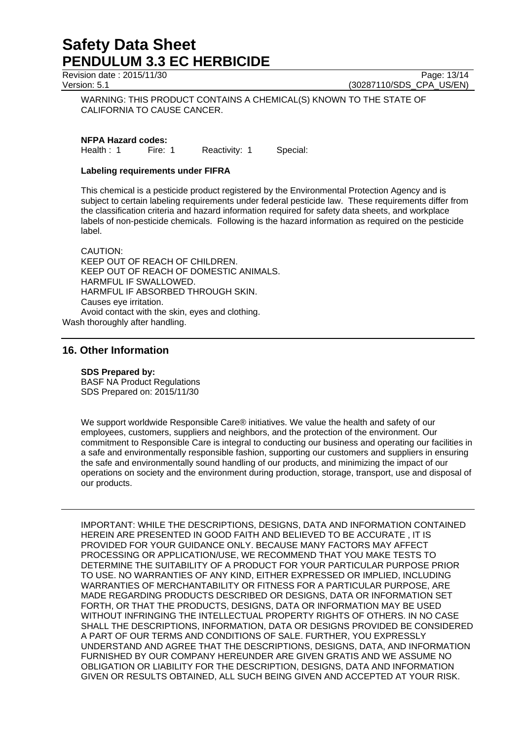Revision date : 2015/11/30 Page: 13/14

Version: 5.1 (30287110/SDS\_CPA\_US/EN)

WARNING: THIS PRODUCT CONTAINS A CHEMICAL(S) KNOWN TO THE STATE OF CALIFORNIA TO CAUSE CANCER.

**NFPA Hazard codes:**

Health : 1 Fire: 1 Reactivity: 1 Special:

### **Labeling requirements under FIFRA**

This chemical is a pesticide product registered by the Environmental Protection Agency and is subject to certain labeling requirements under federal pesticide law. These requirements differ from the classification criteria and hazard information required for safety data sheets, and workplace labels of non-pesticide chemicals. Following is the hazard information as required on the pesticide label.

CAUTION: KEEP OUT OF REACH OF CHILDREN. KEEP OUT OF REACH OF DOMESTIC ANIMALS. HARMFUL IF SWALLOWED. HARMFUL IF ABSORBED THROUGH SKIN. Causes eye irritation. Avoid contact with the skin, eyes and clothing.

Wash thoroughly after handling.

## **16. Other Information**

#### **SDS Prepared by:**

BASF NA Product Regulations SDS Prepared on: 2015/11/30

We support worldwide Responsible Care® initiatives. We value the health and safety of our employees, customers, suppliers and neighbors, and the protection of the environment. Our commitment to Responsible Care is integral to conducting our business and operating our facilities in a safe and environmentally responsible fashion, supporting our customers and suppliers in ensuring the safe and environmentally sound handling of our products, and minimizing the impact of our operations on society and the environment during production, storage, transport, use and disposal of our products.

IMPORTANT: WHILE THE DESCRIPTIONS, DESIGNS, DATA AND INFORMATION CONTAINED HEREIN ARE PRESENTED IN GOOD FAITH AND BELIEVED TO BE ACCURATE , IT IS PROVIDED FOR YOUR GUIDANCE ONLY. BECAUSE MANY FACTORS MAY AFFECT PROCESSING OR APPLICATION/USE, WE RECOMMEND THAT YOU MAKE TESTS TO DETERMINE THE SUITABILITY OF A PRODUCT FOR YOUR PARTICULAR PURPOSE PRIOR TO USE. NO WARRANTIES OF ANY KIND, EITHER EXPRESSED OR IMPLIED, INCLUDING WARRANTIES OF MERCHANTABILITY OR FITNESS FOR A PARTICULAR PURPOSE, ARE MADE REGARDING PRODUCTS DESCRIBED OR DESIGNS, DATA OR INFORMATION SET FORTH, OR THAT THE PRODUCTS, DESIGNS, DATA OR INFORMATION MAY BE USED WITHOUT INFRINGING THE INTELLECTUAL PROPERTY RIGHTS OF OTHERS. IN NO CASE SHALL THE DESCRIPTIONS, INFORMATION, DATA OR DESIGNS PROVIDED BE CONSIDERED A PART OF OUR TERMS AND CONDITIONS OF SALE. FURTHER, YOU EXPRESSLY UNDERSTAND AND AGREE THAT THE DESCRIPTIONS, DESIGNS, DATA, AND INFORMATION FURNISHED BY OUR COMPANY HEREUNDER ARE GIVEN GRATIS AND WE ASSUME NO OBLIGATION OR LIABILITY FOR THE DESCRIPTION, DESIGNS, DATA AND INFORMATION GIVEN OR RESULTS OBTAINED, ALL SUCH BEING GIVEN AND ACCEPTED AT YOUR RISK.